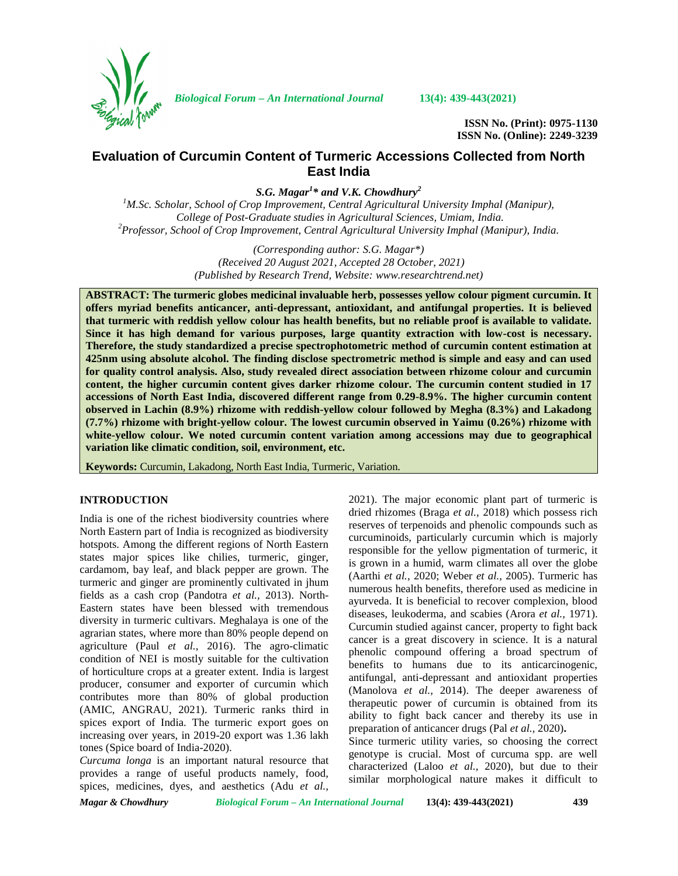

*Biological Forum – An International Journal* **13(4): 439-443(2021)**

**ISSN No. (Print): 0975-1130 ISSN No. (Online): 2249-3239**

# **Evaluation of Curcumin Content of Turmeric Accessions Collected from North East India**

*S.G. Magar<sup>1</sup>\* and V.K. Chowdhury<sup>2</sup>*

*<sup>1</sup>M.Sc. Scholar, School of Crop Improvement, Central Agricultural University Imphal (Manipur), College of Post-Graduate studies in Agricultural Sciences, Umiam, India. <sup>2</sup>Professor, School of Crop Improvement, Central Agricultural University Imphal (Manipur), India.*

> *(Corresponding author: S.G. Magar\*) (Received 20 August 2021, Accepted 28 October, 2021) (Published by Research Trend, Website: [www.researchtrend.net\)](www.researchtrend.net)*

**ABSTRACT: The turmeric globes medicinal invaluable herb, possesses yellow colour pigment curcumin. It offers myriad benefits anticancer, anti-depressant, antioxidant, and antifungal properties. It is believed that turmeric with reddish yellow colour has health benefits, but no reliable proof is available to validate. Since it has high demand for various purposes, large quantity extraction with low-cost is necessary. Therefore, the study standardized a precise spectrophotometric method of curcumin content estimation at 425nm using absolute alcohol. The finding disclose spectrometric method is simple and easy and can used for quality control analysis. Also, study revealed direct association between rhizome colour and curcumin content, the higher curcumin content gives darker rhizome colour. The curcumin content studied in 17 accessions of North East India, discovered different range from 0.29-8.9%. The higher curcumin content observed in Lachin (8.9%) rhizome with reddish-yellow colour followed by Megha (8.3%) and Lakadong (7.7%) rhizome with bright-yellow colour. The lowest curcumin observed in Yaimu (0.26%) rhizome with white-yellow colour. We noted curcumin content variation among accessions may due to geographical variation like climatic condition, soil, environment, etc.**

**Keywords:** Curcumin, Lakadong, North East India, Turmeric, Variation.

## **INTRODUCTION**

India is one of the richest biodiversity countries where North Eastern part of India is recognized as biodiversity hotspots. Among the different regions of North Eastern states major spices like chilies, turmeric, ginger, cardamom, bay leaf, and black pepper are grown. The turmeric and ginger are prominently cultivated in jhum fields as a cash crop (Pandotra *et al.,* 2013). North- Eastern states have been blessed with tremendous diversity in turmeric cultivars. Meghalaya is one of the agrarian states, where more than 80% people depend on agriculture (Paul *et al.,* 2016). The agro-climatic condition of NEI is mostly suitable for the cultivation of horticulture crops at a greater extent. India is largest producer, consumer and exporter of curcumin which contributes more than 80% of global production (AMIC, ANGRAU, 2021). Turmeric ranks third in spices export of India. The turmeric export goes on increasing over years, in 2019-20 export was 1.36 lakh tones (Spice board of India-2020).

*Curcuma longa* is an important natural resource that provides a range of useful products namely, food, spices, medicines, dyes, and aesthetics (Adu *et al.,*

2021). The major economic plant part of turmeric is dried rhizomes (Braga *et al.,* 2018) which possess rich reserves of terpenoids and phenolic compounds such as curcuminoids, particularly curcumin which is majorly responsible for the yellow pigmentation of turmeric, it is grown in a humid, warm climates all over the globe (Aarthi *et al.,* 2020; Weber *et al.,* 2005). Turmeric has numerous health benefits, therefore used as medicine in ayurveda. It is beneficial to recover complexion, blood diseases, leukoderma, and scabies (Arora *et al.,* 1971). Curcumin studied against cancer, property to fight back cancer is a great discovery in science. It is a natural phenolic compound offering a broad spectrum of benefits to humans due to its anticarcinogenic, antifungal, anti-depressant and antioxidant properties (Manolova *et al.,* 2014). The deeper awareness of therapeutic power of curcumin is obtained from its ability to fight back cancer and thereby its use in preparation of anticancer drugs (Pal *et al.,* 2020)**.**

Since turmeric utility varies, so choosing the correct genotype is crucial. Most of curcuma spp. are well characterized (Laloo *et al.,* 2020), but due to their similar morphological nature makes it difficult to

*Magar & Chowdhury Biological Forum – An International Journal* **13(4): 439-443(2021) 439**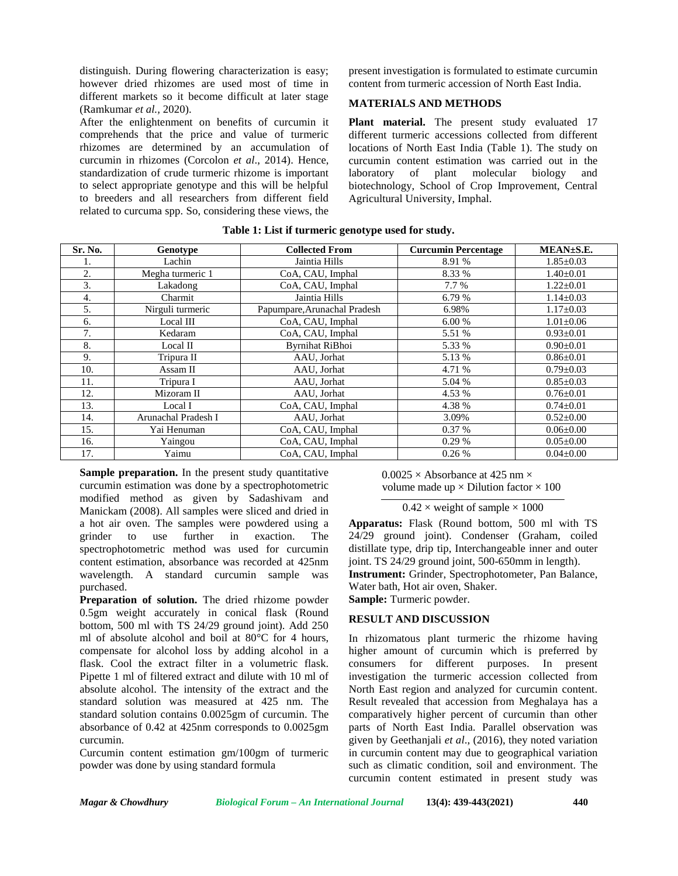distinguish. During flowering characterization is easy; however dried rhizomes are used most of time in different markets so it become difficult at later stage (Ramkumar *et al.,* 2020).

After the enlightenment on benefits of curcumin it comprehends that the price and value of turmeric rhizomes are determined by an accumulation of curcumin in rhizomes (Corcolon *et al*., 2014). Hence, standardization of crude turmeric rhizome is important to select appropriate genotype and this will be helpful to breeders and all researchers from different field related to curcuma spp. So, considering these views, the

present investigation is formulated to estimate curcumin content from turmeric accession of North East India.

## **MATERIALS AND METHODS**

Plant material. The present study evaluated 17 different turmeric accessions collected from different locations of North East India (Table 1). The study on curcumin content estimation was carried out in the laboratory of plant molecular biology and biotechnology, School of Crop Improvement, Central Agricultural University, Imphal.

| Sr. No. | Genotype            | <b>Collected From</b>        | <b>Curcumin Percentage</b> | MEAN±S.E.       |
|---------|---------------------|------------------------------|----------------------------|-----------------|
|         | Lachin              | Jaintia Hills                | 8.91 %                     | $1.85 \pm 0.03$ |
| 2.      | Megha turmeric 1    | CoA, CAU, Imphal             | 8.33 %                     | $1.40 \pm 0.01$ |
| 3.      | Lakadong            | CoA, CAU, Imphal             | 7.7 %                      | $1.22 \pm 0.01$ |
| 4.      | Charmit             | Jaintia Hills                | 6.79 %                     | $1.14 \pm 0.03$ |
| 5.      | Nirguli turmeric    | Papumpare, Arunachal Pradesh | 6.98%                      | $1.17 \pm 0.03$ |
| 6.      | Local III           | CoA, CAU, Imphal             | 6.00%                      | $1.01 \pm 0.06$ |
| 7.      | Kedaram             | CoA, CAU, Imphal             | 5.51 %                     | $0.93 \pm 0.01$ |
| 8.      | Local II            | <b>Byrnihat RiBhoi</b>       | 5.33 %                     | $0.90 \pm 0.01$ |
| 9.      | Tripura II          | AAU, Jorhat                  | 5.13 %                     | $0.86 \pm 0.01$ |
| 10.     | Assam II            | AAU, Jorhat                  | 4.71 %                     | $0.79 \pm 0.03$ |
| 11.     | Tripura I           | AAU. Jorhat                  | 5.04 %                     | $0.85 \pm 0.03$ |
| 12.     | Mizoram II          | AAU, Jorhat                  | 4.53 %                     | $0.76 \pm 0.01$ |
| 13.     | Local I             | CoA, CAU, Imphal             | 4.38 %                     | $0.74 \pm 0.01$ |
| 14.     | Arunachal Pradesh I | AAU. Jorhat                  | 3.09%                      | $0.52 \pm 0.00$ |
| 15.     | Yai Henuman         | CoA, CAU, Imphal             | 0.37%                      | $0.06 \pm 0.00$ |
| 16.     | Yaingou             | CoA, CAU, Imphal             | 0.29%                      | $0.05 \pm 0.00$ |
| 17.     | Yaimu               | CoA, CAU, Imphal             | 0.26%                      | $0.04 \pm 0.00$ |

**Table 1: List if turmeric genotype used for study.**

**Sample preparation.** In the present study quantitative curcumin estimation was done by a spectrophotometric modified method as given by Sadashivam and Manickam (2008). All samples were sliced and dried in a hot air oven. The samples were powdered using a grinder to use further in exaction. The spectrophotometric method was used for curcumin content estimation, absorbance was recorded at 425nm wavelength. A standard curcumin sample was purchased.

**Preparation of solution.** The dried rhizome powder 0.5gm weight accurately in conical flask (Round bottom, 500 ml with TS 24/29 ground joint). Add 250 ml of absolute alcohol and boil at 80°C for 4 hours, compensate for alcohol loss by adding alcohol in a flask. Cool the extract filter in a volumetric flask. Pipette 1 ml of filtered extract and dilute with 10 ml of absolute alcohol. The intensity of the extract and the standard solution was measured at 425 nm. The standard solution contains 0.0025gm of curcumin. The absorbance of 0.42 at 425nm corresponds to 0.0025gm curcumin.

Curcumin content estimation gm/100gm of turmeric powder was done by using standard formula

 $0.0025 \times$  Absorbance at 425 nm  $\times$ volume made up  $\times$  Dilution factor  $\times$  100

 $0.42 \times$  weight of sample  $\times 1000$ 

**Apparatus:** Flask (Round bottom, 500 ml with TS 24/29 ground joint). Condenser (Graham, coiled distillate type, drip tip, Interchangeable inner and outer joint. TS 24/29 ground joint, 500-650mm in length). **Instrument:** Grinder, Spectrophotometer, Pan Balance, Water bath, Hot air oven, Shaker. **Sample:** Turmeric powder.

#### **RESULT AND DISCUSSION**

In rhizomatous plant turmeric the rhizome having higher amount of curcumin which is preferred by consumers for different purposes. In present investigation the turmeric accession collected from North East region and analyzed for curcumin content. Result revealed that accession from Meghalaya has a comparatively higher percent of curcumin than other parts of North East India. Parallel observation was given by Geethanjali *et al*., (2016), they noted variation in curcumin content may due to geographical variation such as climatic condition, soil and environment. The curcumin content estimated in present study was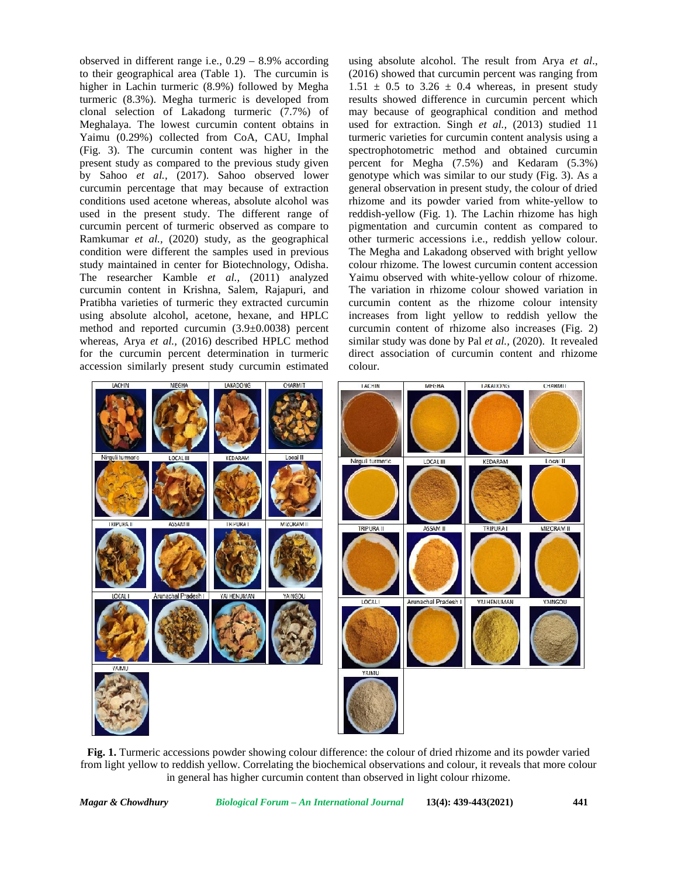observed in different range i.e., 0.29 – 8.9% according to their geographical area (Table 1). The curcumin is higher in Lachin turmeric (8.9%) followed by Megha turmeric (8.3%). Megha turmeric is developed from clonal selection of Lakadong turmeric (7.7%) of Meghalaya. The lowest curcumin content obtains in Yaimu (0.29%) collected from CoA, CAU, Imphal (Fig. 3). The curcumin content was higher in the present study as compared to the previous study given by Sahoo *et al.,* (2017). Sahoo observed lower curcumin percentage that may because of extraction conditions used acetone whereas, absolute alcohol was used in the present study. The different range of curcumin percent of turmeric observed as compare to Ramkumar *et al.,* (2020) study, as the geographical condition were different the samples used in previous study maintained in center for Biotechnology, Odisha. The researcher Kamble *et al.,* (2011) analyzed curcumin content in Krishna, Salem, Rajapuri, and Pratibha varieties of turmeric they extracted curcumin using absolute alcohol, acetone, hexane, and HPLC method and reported curcumin (3.9±0.0038) percent whereas, Arya *et al.,* (2016) described HPLC method for the curcumin percent determination in turmeric accession similarly present study curcumin estimated

using absolute alcohol. The result from Arya *et al*., (2016) showed that curcumin percent was ranging from  $1.51 \pm 0.5$  to  $3.26 \pm 0.4$  whereas, in present study results showed difference in curcumin percent which may because of geographical condition and method used for extraction. Singh *et al.,* (2013) studied 11 turmeric varieties for curcumin content analysis using a spectrophotometric method and obtained curcumin percent for Megha (7.5%) and Kedaram (5.3%) genotype which was similar to our study (Fig. 3). As a general observation in present study, the colour of dried rhizome and its powder varied from white-yellow to reddish-yellow (Fig. 1). The Lachin rhizome has high pigmentation and curcumin content as compared to other turmeric accessions i.e., reddish yellow colour. The Megha and Lakadong observed with bright yellow colour rhizome. The lowest curcumin content accession Yaimu observed with white-yellow colour of rhizome. The variation in rhizome colour showed variation in curcumin content as the rhizome colour intensity increases from light yellow to reddish yellow the curcumin content of rhizome also increases (Fig. 2) similar study was done by Pal*et al.,* (2020). It revealed direct association of curcumin content and rhizome colour.



**Fig. 1.** Turmeric accessions powder showing colour difference: the colour of dried rhizome and its powder varied from light yellow to reddish yellow. Correlating the biochemical observations and colour, it reveals that more colour in general has higher curcumin content than observed in light colour rhizome.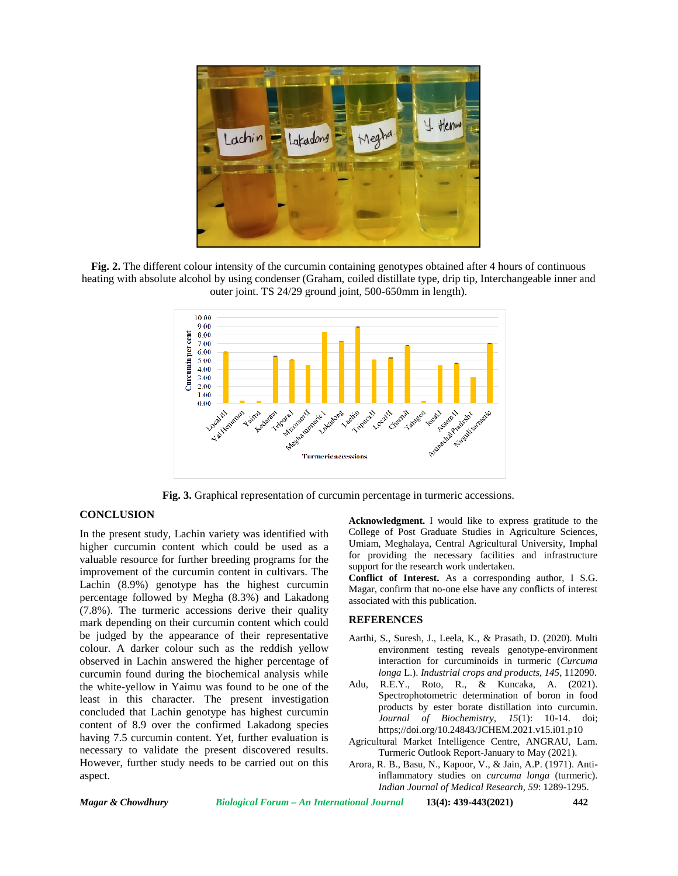

**Fig. 2.** The different colour intensity of the curcumin containing genotypes obtained after 4 hours of continuous heating with absolute alcohol by using condenser (Graham, coiled distillate type, drip tip, Interchangeable inner and outer joint. TS 24/29 ground joint, 500-650mm in length).



**Fig. 3.** Graphical representation of curcumin percentage in turmeric accessions.

#### **CONCLUSION**

In the present study, Lachin variety was identified with higher curcumin content which could be used as a valuable resource for further breeding programs for the improvement of the curcumin content in cultivars. The Lachin (8.9%) genotype has the highest curcumin percentage followed by Megha (8.3%) and Lakadong (7.8%). The turmeric accessions derive their quality mark depending on their curcumin content which could be judged by the appearance of their representative colour. A darker colour such as the reddish yellow observed in Lachin answered the higher percentage of curcumin found during the biochemical analysis while the white-yellow in Yaimu was found to be one of the Adu, least in this character. The present investigation concluded that Lachin genotype has highest curcumin content of 8.9 over the confirmed Lakadong species having 7.5 curcumin content. Yet, further evaluation is necessary to validate the present discovered results. However, further study needs to be carried out on this aspect.

**Acknowledgment.** I would like to express gratitude to the College of Post Graduate Studies in Agriculture Sciences, Umiam, Meghalaya, Central Agricultural University, Imphal for providing the necessary facilities and infrastructure support for the research work undertaken.

**Conflict of Interest.** As a corresponding author, I S.G. Magar, confirm that no-one else have any conflicts of interest associated with this publication.

#### **REFERENCES**

- Aarthi, S., Suresh, J., Leela, K., & Prasath, D. (2020). Multi environment testing reveals genotype-environment interaction for curcuminoids in turmeric (*Curcuma longa* L.). *Industrial crops and products, 145*, 112090.
- R.E.Y., Roto, R., & Kuncaka, A. (2021). Spectrophotometric determination of boron in food products by ester borate distillation into curcumin. *Journal of Biochemistry, 15*(1): 10-14. doi; https;//doi.org/10.24843/JCHEM.2021.v15.i01.p10
- Agricultural Market Intelligence Centre, ANGRAU, Lam. Turmeric Outlook Report-January to May (2021).
- Arora, R. B., Basu, N., Kapoor, V., & Jain, A.P. (1971). Antiinflammatory studies on *curcuma longa* (turmeric). *Indian Journal of Medical Research, 59*: 1289-1295.

*Magar & Chowdhury Biological Forum – An International Journal* **13(4): 439-443(2021) 442**